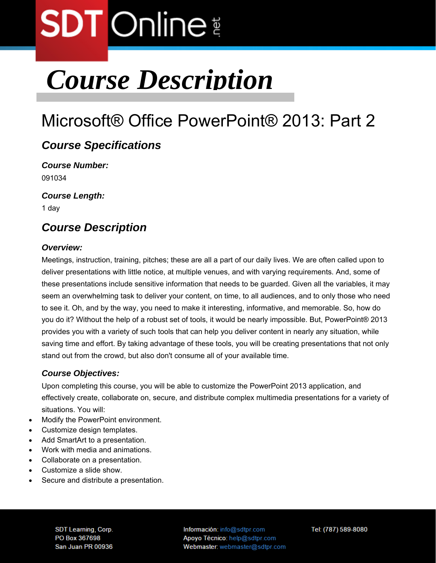## **SDT** Online

### *Course Description*

### Microsoft® Office PowerPoint® 2013: Part 2

#### *Course Specifications*

*Course Number:*  091034

*Course Length:* 

1 day

#### *Course Description*

#### *Overview:*

Meetings, instruction, training, pitches; these are all a part of our daily lives. We are often called upon to deliver presentations with little notice, at multiple venues, and with varying requirements. And, some of these presentations include sensitive information that needs to be guarded. Given all the variables, it may seem an overwhelming task to deliver your content, on time, to all audiences, and to only those who need to see it. Oh, and by the way, you need to make it interesting, informative, and memorable. So, how do you do it? Without the help of a robust set of tools, it would be nearly impossible. But, PowerPoint® 2013 provides you with a variety of such tools that can help you deliver content in nearly any situation, while saving time and effort. By taking advantage of these tools, you will be creating presentations that not only stand out from the crowd, but also don't consume all of your available time.

#### *Course Objectives:*

Upon completing this course, you will be able to customize the PowerPoint 2013 application, and effectively create, collaborate on, secure, and distribute complex multimedia presentations for a variety of situations. You will:

- Modify the PowerPoint environment.
- Customize design templates.
- Add SmartArt to a presentation.
- Work with media and animations.
- Collaborate on a presentation.
- Customize a slide show.
- Secure and distribute a presentation.

SDT Learning, Corp. PO Box 367698 San Juan PR 00936 Información: info@sdtpr.com Apoyo Técnico: help@sdtpr.com Webmaster: webmaster@sdtpr.com Tel: (787) 589-8080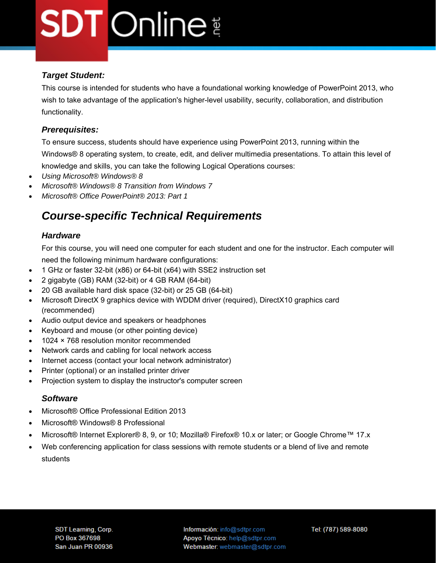# **SDT** Online

#### *Target Student:*

This course is intended for students who have a foundational working knowledge of PowerPoint 2013, who wish to take advantage of the application's higher-level usability, security, collaboration, and distribution functionality.

#### *Prerequisites:*

To ensure success, students should have experience using PowerPoint 2013, running within the Windows® 8 operating system, to create, edit, and deliver multimedia presentations. To attain this level of knowledge and skills, you can take the following Logical Operations courses:

- *Using Microsoft® Windows® 8*
- *Microsoft® Windows® 8 Transition from Windows 7*
- *Microsoft® Office PowerPoint® 2013: Part 1*

#### *Course-specific Technical Requirements*

#### *Hardware*

For this course, you will need one computer for each student and one for the instructor. Each computer will need the following minimum hardware configurations:

- 1 GHz or faster 32-bit (x86) or 64-bit (x64) with SSE2 instruction set
- 2 gigabyte (GB) RAM (32-bit) or 4 GB RAM (64-bit)
- 20 GB available hard disk space (32-bit) or 25 GB (64-bit)
- Microsoft DirectX 9 graphics device with WDDM driver (required), DirectX10 graphics card (recommended)
- Audio output device and speakers or headphones
- Keyboard and mouse (or other pointing device)
- 1024 × 768 resolution monitor recommended
- Network cards and cabling for local network access
- Internet access (contact your local network administrator)
- Printer (optional) or an installed printer driver
- Projection system to display the instructor's computer screen

#### *Software*

- Microsoft® Office Professional Edition 2013
- Microsoft® Windows® 8 Professional
- Microsoft® Internet Explorer® 8, 9, or 10; Mozilla® Firefox® 10.x or later; or Google Chrome™ 17.x
- Web conferencing application for class sessions with remote students or a blend of live and remote students

Información: info@sdtpr.com Apoyo Técnico: help@sdtpr.com Webmaster: webmaster@sdtpr.com